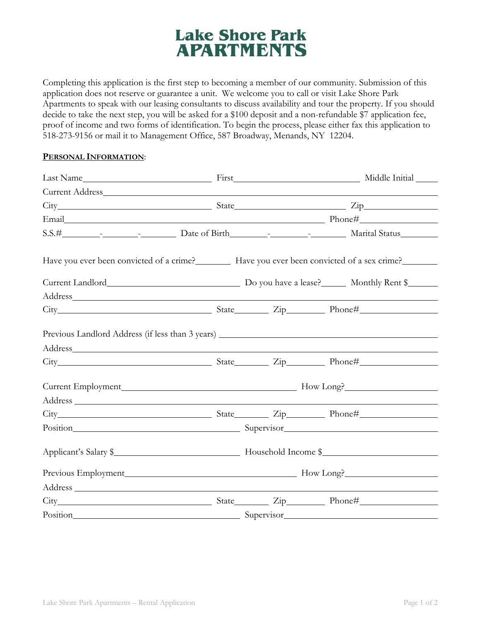## **Lake Shore Park APARTMENTS**

Completing this application is the first step to becoming a member of our community. Submission of this application does not reserve or guarantee a unit. We welcome you to call or visit Lake Shore Park Apartments to speak with our leasing consultants to discuss availability and tour the property. If you should decide to take the next step, you will be asked for a \$100 deposit and a non-refundable \$7 application fee, proof of income and two forms of identification. To begin the process, please either fax this application to 518-273-9156 or mail it to Management Office, 587 Broadway, Menands, NY 12204.

## **PERSONAL INFORMATION**:

| Current Address_ No. 1996                                                                                                                                                                                                      |                       |  |  |  |  |
|--------------------------------------------------------------------------------------------------------------------------------------------------------------------------------------------------------------------------------|-----------------------|--|--|--|--|
|                                                                                                                                                                                                                                |                       |  |  |  |  |
|                                                                                                                                                                                                                                |                       |  |  |  |  |
|                                                                                                                                                                                                                                |                       |  |  |  |  |
| Have you ever been convicted of a crime? Have you ever been convicted of a sex crime?                                                                                                                                          |                       |  |  |  |  |
|                                                                                                                                                                                                                                |                       |  |  |  |  |
| Address and the contract of the contract of the contract of the contract of the contract of the contract of the contract of the contract of the contract of the contract of the contract of the contract of the contract of th |                       |  |  |  |  |
|                                                                                                                                                                                                                                |                       |  |  |  |  |
|                                                                                                                                                                                                                                |                       |  |  |  |  |
|                                                                                                                                                                                                                                |                       |  |  |  |  |
|                                                                                                                                                                                                                                |                       |  |  |  |  |
|                                                                                                                                                                                                                                |                       |  |  |  |  |
|                                                                                                                                                                                                                                |                       |  |  |  |  |
|                                                                                                                                                                                                                                |                       |  |  |  |  |
| Position Supervisor Supervisor Contact Contact Contact Contact Contact Contact Contact Contact Contact Contact Contact Contact Contact Contact Contact Contact Contact Contact Contact Contact Contact Contact Contact Contact |                       |  |  |  |  |
|                                                                                                                                                                                                                                | Applicant's Salary \$ |  |  |  |  |
|                                                                                                                                                                                                                                |                       |  |  |  |  |
|                                                                                                                                                                                                                                |                       |  |  |  |  |
|                                                                                                                                                                                                                                |                       |  |  |  |  |
| Position Supervisor                                                                                                                                                                                                            |                       |  |  |  |  |